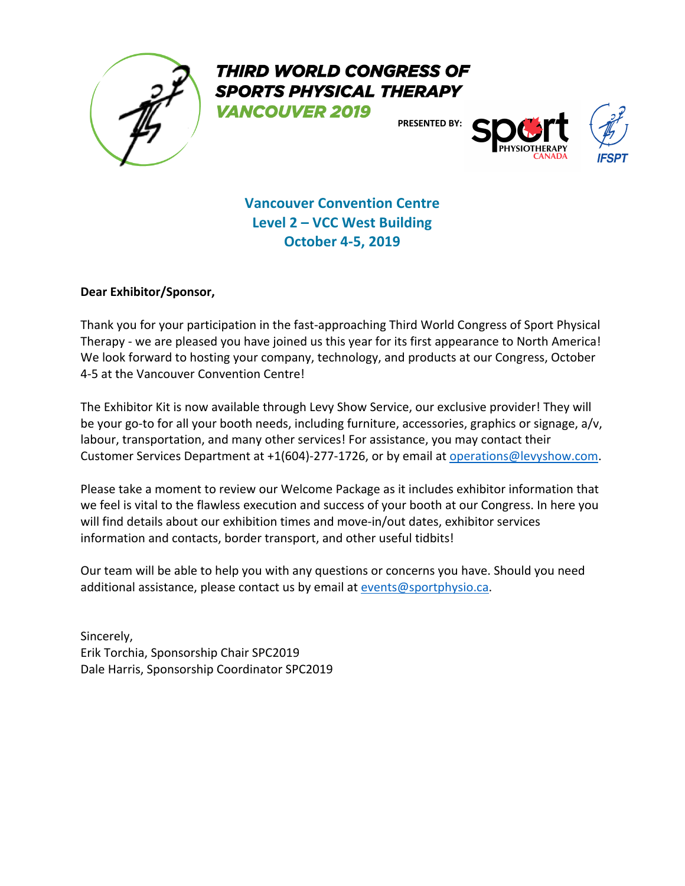

THIRD WORLD CONGRESS OF **SPORTS PHYSICAL THERAPY** 

**VANCOUVER 2019** 

**PRESENTED BY:**



**Vancouver Convention Centre Level 2 – VCC West Building October 4-5, 2019**

# **Dear Exhibitor/Sponsor,**

Thank you for your participation in the fast-approaching Third World Congress of Sport Physical Therapy - we are pleased you have joined us this year for its first appearance to North America! We look forward to hosting your company, technology, and products at our Congress, October 4-5 at the Vancouver Convention Centre!

The Exhibitor Kit is now available through Levy Show Service, our exclusive provider! They will be your go-to for all your booth needs, including furniture, accessories, graphics or signage, a/v, labour, transportation, and many other services! For assistance, you may contact their Customer Services Department at +1(604)-277-1726, or by email at operations@levyshow.com.

Please take a moment to review our Welcome Package as it includes exhibitor information that we feel is vital to the flawless execution and success of your booth at our Congress. In here you will find details about our exhibition times and move-in/out dates, exhibitor services information and contacts, border transport, and other useful tidbits!

Our team will be able to help you with any questions or concerns you have. Should you need additional assistance, please contact us by email at events@sportphysio.ca.

Sincerely, Erik Torchia, Sponsorship Chair SPC2019 Dale Harris, Sponsorship Coordinator SPC2019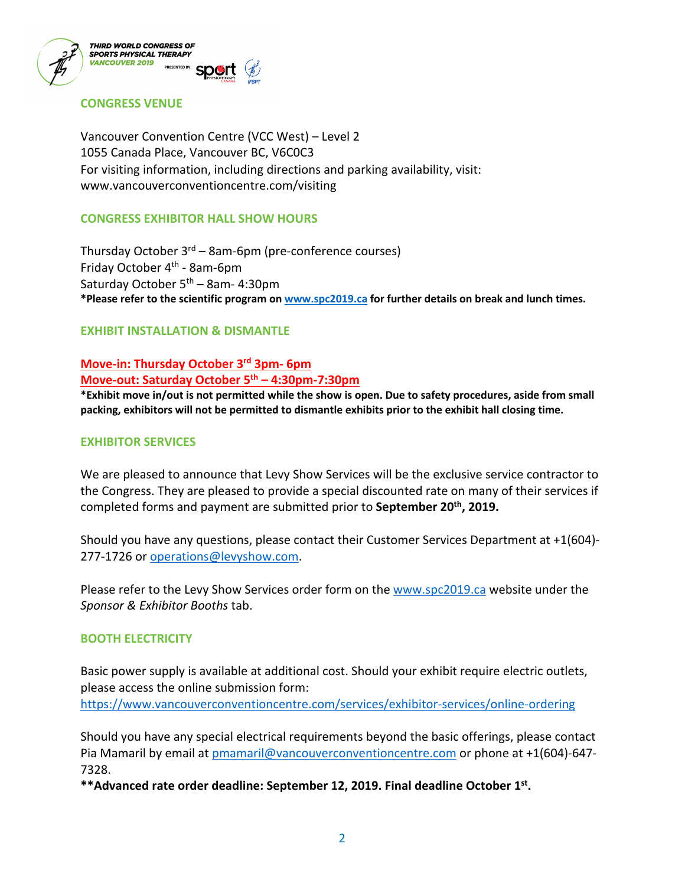



# **CONGRESS VENUE**

Vancouver Convention Centre (VCC West) – Level 2 1055 Canada Place, Vancouver BC, V6C0C3 For visiting information, including directions and parking availability, visit: www.vancouverconventioncentre.com/visiting

# **CONGRESS EXHIBITOR HALL SHOW HOURS**

Thursday October  $3^{rd}$  – 8am-6pm (pre-conference courses) Friday October 4th - 8am-6pm Saturday October 5<sup>th</sup> – 8am- 4:30pm **\*Please refer to the scientific program on www.spc2019.ca for further details on break and lunch times.**

## **EXHIBIT INSTALLATION & DISMANTLE**

# **Move-in: Thursday October 3rd 3pm- 6pm Move-out: Saturday October 5th – 4:30pm-7:30pm**

**\*Exhibit move in/out is not permitted while the show is open. Due to safety procedures, aside from small packing, exhibitors will not be permitted to dismantle exhibits prior to the exhibit hall closing time.**

## **EXHIBITOR SERVICES**

We are pleased to announce that Levy Show Services will be the exclusive service contractor to the Congress. They are pleased to provide a special discounted rate on many of their services if completed forms and payment are submitted prior to **September 20th, 2019.**

Should you have any questions, please contact their Customer Services Department at +1(604)- 277-1726 or operations@levyshow.com.

Please refer to the Levy Show Services order form on the www.spc2019.ca website under the *Sponsor & Exhibitor Booths* tab.

#### **BOOTH ELECTRICITY**

Basic power supply is available at additional cost. Should your exhibit require electric outlets, please access the online submission form:

https://www.vancouverconventioncentre.com/services/exhibitor-services/online-ordering

Should you have any special electrical requirements beyond the basic offerings, please contact Pia Mamaril by email at pmamaril@vancouverconventioncentre.com or phone at +1(604)-647- 7328.

**\*\*Advanced rate order deadline: September 12, 2019. Final deadline October 1st.**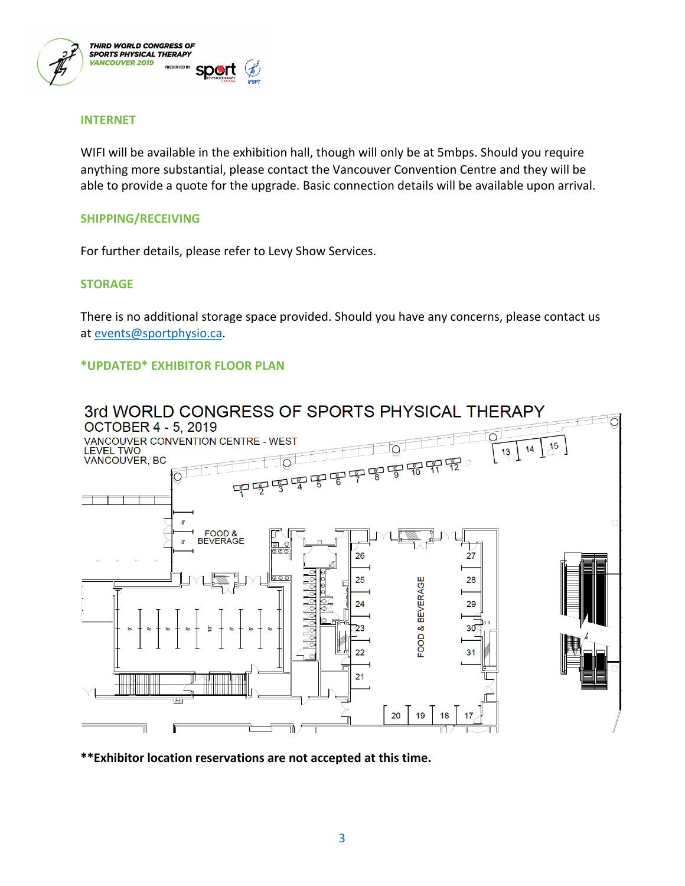

## **INTERNET**

WIFI will be available in the exhibition hall, though will only be at 5mbps. Should you require anything more substantial, please contact the Vancouver Convention Centre and they will be able to provide a quote for the upgrade. Basic connection details will be available upon arrival.

#### **SHIPPING/RECEIVING**

For further details, please refer to Levy Show Services.

#### **STORAGE**

There is no additional storage space provided. Should you have any concerns, please contact us at events@sportphysio.ca.

# **\*UPDATED\* EXHIBITOR FLOOR PLAN**



**\*\*Exhibitor location reservations are not accepted at this time.**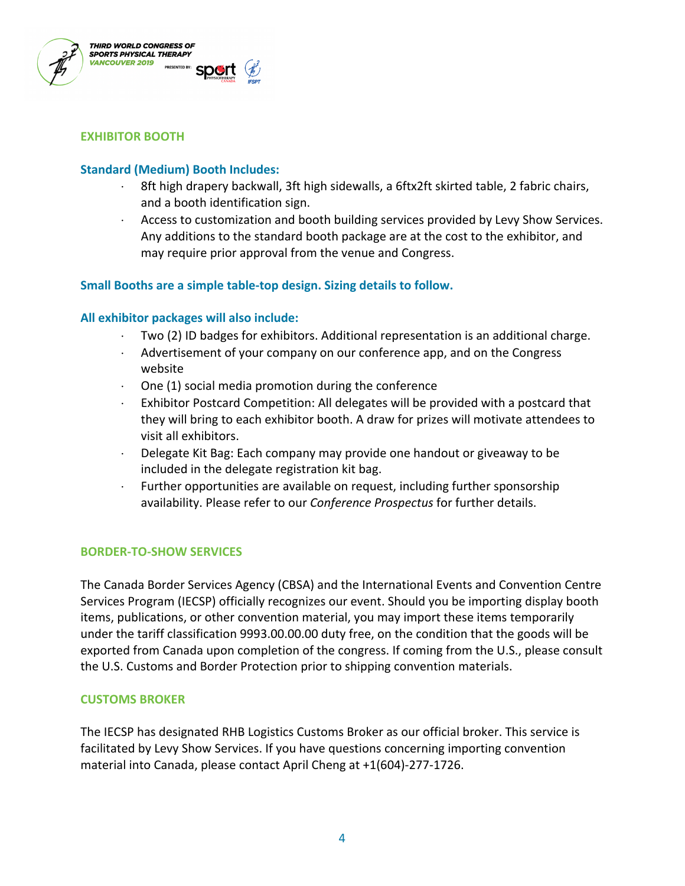

## **EXHIBITOR BOOTH**

## **Standard (Medium) Booth Includes:**

- $\cdot$  8ft high drapery backwall, 3ft high sidewalls, a 6ftx2ft skirted table, 2 fabric chairs, and a booth identification sign.
- $\cdot$  Access to customization and booth building services provided by Levy Show Services. Any additions to the standard booth package are at the cost to the exhibitor, and may require prior approval from the venue and Congress.

## **Small Booths are a simple table-top design. Sizing details to follow.**

## **All exhibitor packages will also include:**

- × Two (2) ID badges for exhibitors. Additional representation is an additional charge.
- $\cdot$  Advertisement of your company on our conference app, and on the Congress website
- $\cdot$  One (1) social media promotion during the conference
- $\cdot$  Exhibitor Postcard Competition: All delegates will be provided with a postcard that they will bring to each exhibitor booth. A draw for prizes will motivate attendees to visit all exhibitors.
- Delegate Kit Bag: Each company may provide one handout or giveaway to be included in the delegate registration kit bag.
- $\cdot$  Further opportunities are available on request, including further sponsorship availability. Please refer to our *Conference Prospectus* for further details.

#### **BORDER-TO-SHOW SERVICES**

The Canada Border Services Agency (CBSA) and the International Events and Convention Centre Services Program (IECSP) officially recognizes our event. Should you be importing display booth items, publications, or other convention material, you may import these items temporarily under the tariff classification 9993.00.00.00 duty free, on the condition that the goods will be exported from Canada upon completion of the congress. If coming from the U.S., please consult the U.S. Customs and Border Protection prior to shipping convention materials.

#### **CUSTOMS BROKER**

The IECSP has designated RHB Logistics Customs Broker as our official broker. This service is facilitated by Levy Show Services. If you have questions concerning importing convention material into Canada, please contact April Cheng at +1(604)-277-1726.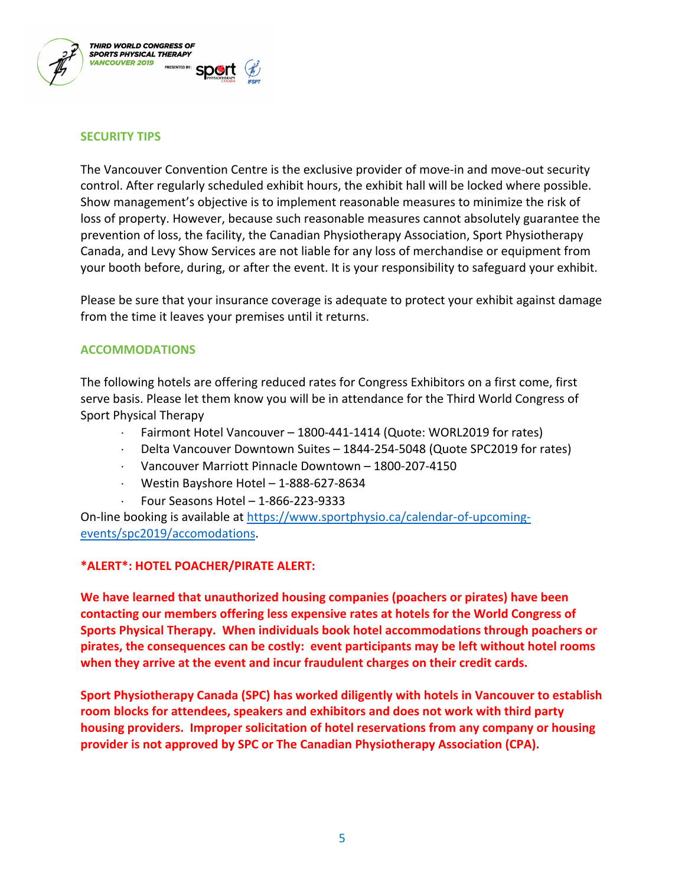

## **SECURITY TIPS**

The Vancouver Convention Centre is the exclusive provider of move-in and move-out security control. After regularly scheduled exhibit hours, the exhibit hall will be locked where possible. Show management's objective is to implement reasonable measures to minimize the risk of loss of property. However, because such reasonable measures cannot absolutely guarantee the prevention of loss, the facility, the Canadian Physiotherapy Association, Sport Physiotherapy Canada, and Levy Show Services are not liable for any loss of merchandise or equipment from your booth before, during, or after the event. It is your responsibility to safeguard your exhibit.

Please be sure that your insurance coverage is adequate to protect your exhibit against damage from the time it leaves your premises until it returns.

## **ACCOMMODATIONS**

The following hotels are offering reduced rates for Congress Exhibitors on a first come, first serve basis. Please let them know you will be in attendance for the Third World Congress of Sport Physical Therapy

- $\cdot$  Fairmont Hotel Vancouver 1800-441-1414 (Quote: WORL2019 for rates)
- × Delta Vancouver Downtown Suites 1844-254-5048 (Quote SPC2019 for rates)
- × Vancouver Marriott Pinnacle Downtown 1800-207-4150
- × Westin Bayshore Hotel 1-888-627-8634
- $\cdot$  Four Seasons Hotel 1-866-223-9333

On-line booking is available at https://www.sportphysio.ca/calendar-of-upcomingevents/spc2019/accomodations.

# **\*ALERT\*: HOTEL POACHER/PIRATE ALERT:**

**We have learned that unauthorized housing companies (poachers or pirates) have been contacting our members offering less expensive rates at hotels for the World Congress of Sports Physical Therapy. When individuals book hotel accommodations through poachers or pirates, the consequences can be costly: event participants may be left without hotel rooms when they arrive at the event and incur fraudulent charges on their credit cards.** 

**Sport Physiotherapy Canada (SPC) has worked diligently with hotels in Vancouver to establish room blocks for attendees, speakers and exhibitors and does not work with third party housing providers. Improper solicitation of hotel reservations from any company or housing provider is not approved by SPC or The Canadian Physiotherapy Association (CPA).**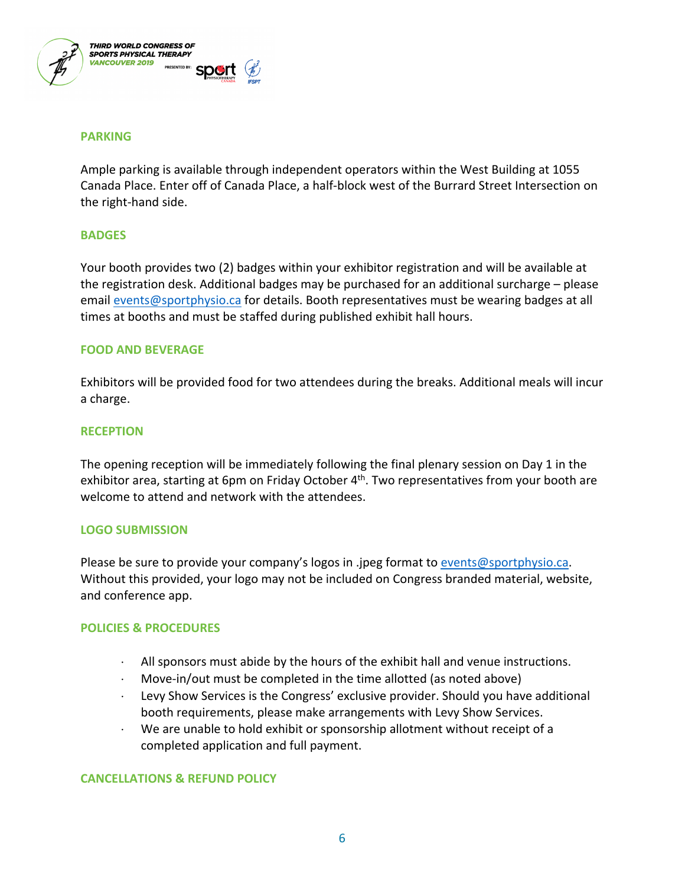

#### **PARKING**

Ample parking is available through independent operators within the West Building at 1055 Canada Place. Enter off of Canada Place, a half-block west of the Burrard Street Intersection on the right-hand side.

## **BADGES**

Your booth provides two (2) badges within your exhibitor registration and will be available at the registration desk. Additional badges may be purchased for an additional surcharge – please email events@sportphysio.ca for details. Booth representatives must be wearing badges at all times at booths and must be staffed during published exhibit hall hours.

## **FOOD AND BEVERAGE**

Exhibitors will be provided food for two attendees during the breaks. Additional meals will incur a charge.

## **RECEPTION**

The opening reception will be immediately following the final plenary session on Day 1 in the exhibitor area, starting at 6pm on Friday October 4<sup>th</sup>. Two representatives from your booth are welcome to attend and network with the attendees.

#### **LOGO SUBMISSION**

Please be sure to provide your company's logos in .jpeg format to events@sportphysio.ca. Without this provided, your logo may not be included on Congress branded material, website, and conference app.

# **POLICIES & PROCEDURES**

- All sponsors must abide by the hours of the exhibit hall and venue instructions.
- $\cdot$  Move-in/out must be completed in the time allotted (as noted above)
- Levy Show Services is the Congress' exclusive provider. Should you have additional booth requirements, please make arrangements with Levy Show Services.
- $\cdot$  We are unable to hold exhibit or sponsorship allotment without receipt of a completed application and full payment.

# **CANCELLATIONS & REFUND POLICY**